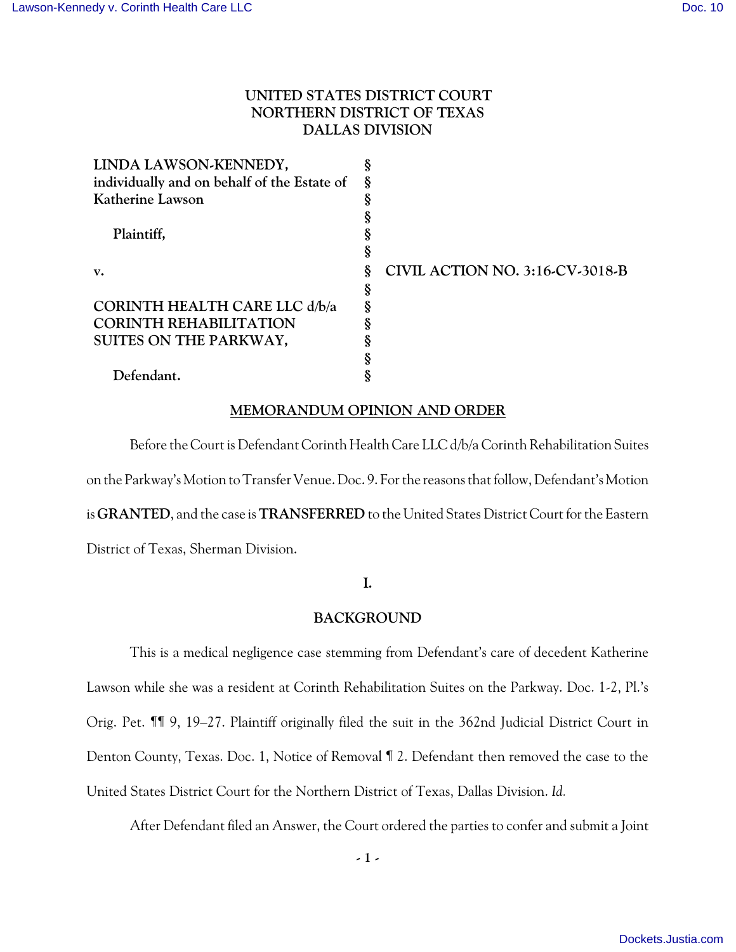# **UNITED STATES DISTRICT COURT NORTHERN DISTRICT OF TEXAS DALLAS DIVISION**

| LINDA LAWSON-KENNEDY,                       |   |                                 |
|---------------------------------------------|---|---------------------------------|
| individually and on behalf of the Estate of | Ş |                                 |
| Katherine Lawson                            |   |                                 |
|                                             |   |                                 |
| Plaintiff,                                  |   |                                 |
|                                             |   |                                 |
| v.                                          |   | CIVIL ACTION NO. 3:16-CV-3018-B |
|                                             |   |                                 |
| CORINTH HEALTH CARE LLC d/b/a               |   |                                 |
| <b>CORINTH REHABILITATION</b>               |   |                                 |
| SUITES ON THE PARKWAY,                      |   |                                 |
|                                             |   |                                 |
| Defendant.                                  |   |                                 |
|                                             |   |                                 |

### **MEMORANDUM OPINION AND ORDER**

Before the Court is Defendant Corinth Health Care LLC d/b/a Corinth Rehabilitation Suites on the Parkway's Motion to Transfer Venue. Doc. 9. For the reasons that follow, Defendant's Motion is **GRANTED**, and the case is **TRANSFERRED** to the United States District Court for the Eastern District of Texas, Sherman Division.

## **I.**

## **BACKGROUND**

This is a medical negligence case stemming from Defendant's care of decedent Katherine Lawson while she was a resident at Corinth Rehabilitation Suites on the Parkway. Doc. 1-2, Pl.'s Orig. Pet. ¶¶ 9, 19–27. Plaintiff originally filed the suit in the 362nd Judicial District Court in Denton County, Texas. Doc. 1, Notice of Removal ¶ 2. Defendant then removed the case to the United States District Court for the Northern District of Texas, Dallas Division. *Id.* 

After Defendant filed an Answer, the Court ordered the parties to confer and submit a Joint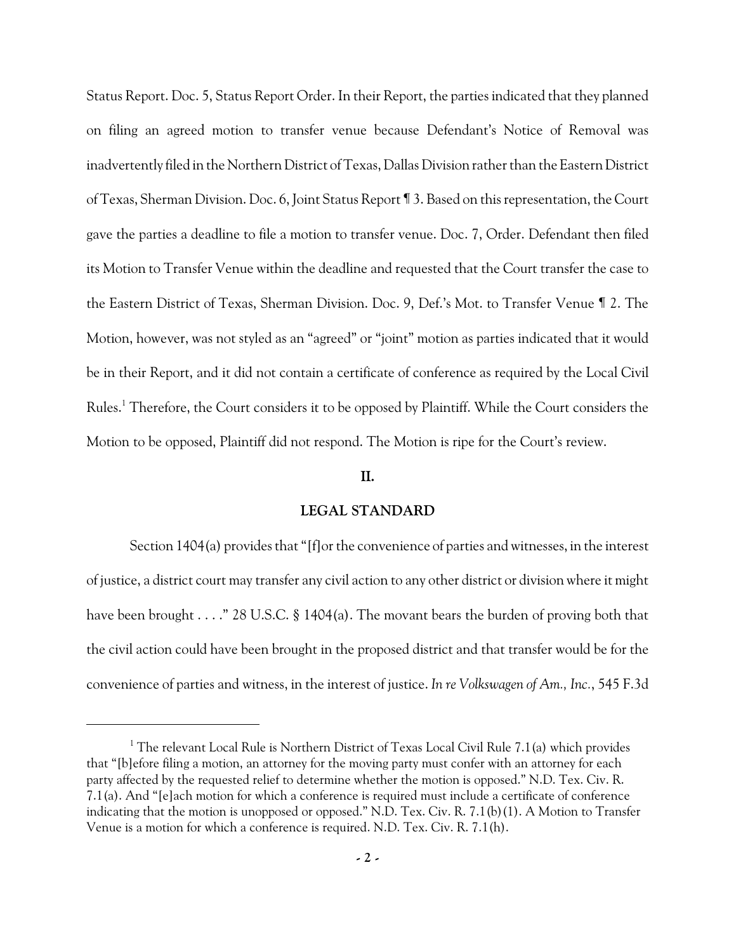Status Report. Doc. 5, Status Report Order. In their Report, the parties indicated that they planned on filing an agreed motion to transfer venue because Defendant's Notice of Removal was inadvertently filed in the Northern District of Texas, Dallas Division rather than the Eastern District of Texas, Sherman Division. Doc. 6, Joint Status Report ¶ 3. Based on this representation, the Court gave the parties a deadline to file a motion to transfer venue. Doc. 7, Order. Defendant then filed its Motion to Transfer Venue within the deadline and requested that the Court transfer the case to the Eastern District of Texas, Sherman Division. Doc. 9, Def.'s Mot. to Transfer Venue ¶ 2. The Motion, however, was not styled as an "agreed" or "joint" motion as parties indicated that it would be in their Report, and it did not contain a certificate of conference as required by the Local Civil Rules. <sup>1</sup> Therefore, the Court considers it to be opposed by Plaintiff. While the Court considers the Motion to be opposed, Plaintiff did not respond. The Motion is ripe for the Court's review.

### **II.**

### **LEGAL STANDARD**

Section 1404(a) provides that "[f]or the convenience of parties and witnesses, in the interest of justice, a district court may transfer any civil action to any other district or division where it might have been brought . . . ." 28 U.S.C. § 1404(a). The movant bears the burden of proving both that the civil action could have been brought in the proposed district and that transfer would be for the convenience of parties and witness, in the interest of justice. *In re Volkswagen of Am., Inc.*, 545 F.3d

<sup>&</sup>lt;sup>1</sup> The relevant Local Rule is Northern District of Texas Local Civil Rule 7.1(a) which provides that "[b]efore filing a motion, an attorney for the moving party must confer with an attorney for each party affected by the requested relief to determine whether the motion is opposed." N.D. Tex. Civ. R. 7.1(a). And "[e]ach motion for which a conference is required must include a certificate of conference indicating that the motion is unopposed or opposed." N.D. Tex. Civ. R. 7.1(b)(1). A Motion to Transfer Venue is a motion for which a conference is required. N.D. Tex. Civ. R. 7.1(h).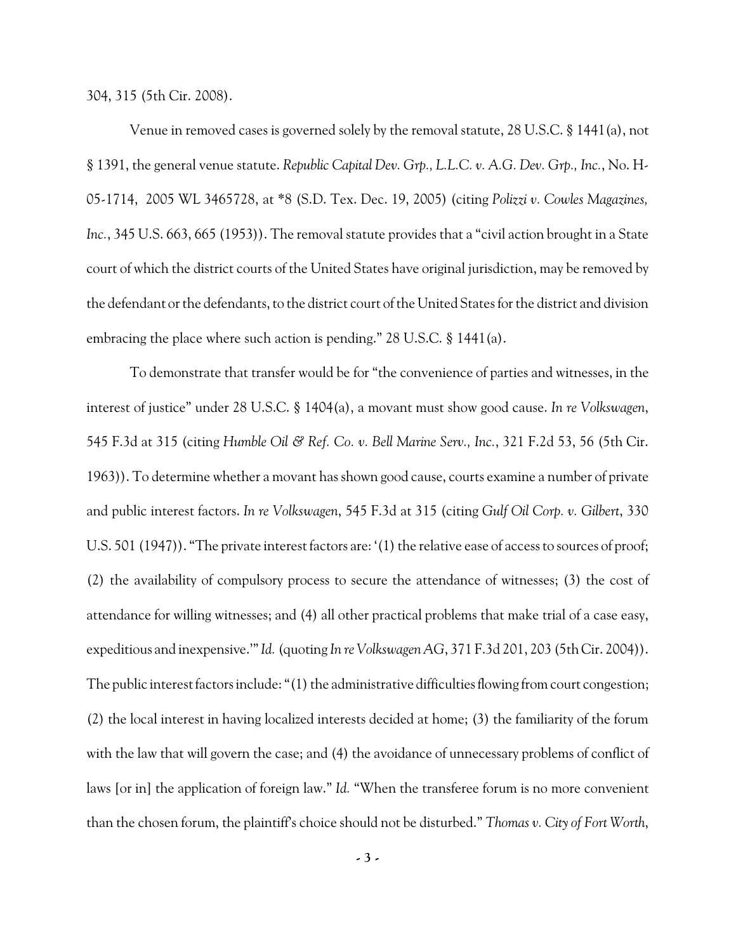304, 315 (5th Cir. 2008).

Venue in removed cases is governed solely by the removal statute, 28 U.S.C. § 1441(a), not § 1391, the general venue statute. *Republic Capital Dev. Grp., L.L.C. v. A.G. Dev. Grp., Inc.*, No. H-05-1714, 2005 WL 3465728, at \*8 (S.D. Tex. Dec. 19, 2005) (citing *Polizzi v. Cowles Magazines, Inc.*, 345 U.S. 663, 665 (1953)). The removal statute provides that a "civil action brought in a State court of which the district courts of the United States have original jurisdiction, may be removed by the defendant or the defendants, to the district court of the United States for the district and division embracing the place where such action is pending." 28 U.S.C. § 1441(a).

To demonstrate that transfer would be for "the convenience of parties and witnesses, in the interest of justice" under 28 U.S.C. § 1404(a), a movant must show good cause. *In re Volkswagen*, 545 F.3d at 315 (citing *Humble Oil & Ref. Co. v. Bell Marine Serv., Inc.*, 321 F.2d 53, 56 (5th Cir. 1963)). To determine whether a movant has shown good cause, courts examine a number of private and public interest factors. *In re Volkswagen*, 545 F.3d at 315 (citing *Gulf Oil Corp. v. Gilbert*, 330 U.S. 501 (1947)). "The private interest factors are: '(1) the relative ease of access to sources of proof; (2) the availability of compulsory process to secure the attendance of witnesses; (3) the cost of attendance for willing witnesses; and (4) all other practical problems that make trial of a case easy, expeditious and inexpensive.'"*Id.*(quoting *In re Volkswagen AG*, 371 F.3d 201, 203 (5th Cir. 2004)). The public interest factors include: "(1) the administrative difficulties flowing from court congestion; (2) the local interest in having localized interests decided at home; (3) the familiarity of the forum with the law that will govern the case; and (4) the avoidance of unnecessary problems of conflict of laws [or in] the application of foreign law." *Id.* "When the transferee forum is no more convenient than the chosen forum, the plaintiff's choice should not be disturbed." *Thomas v. City of Fort Worth*,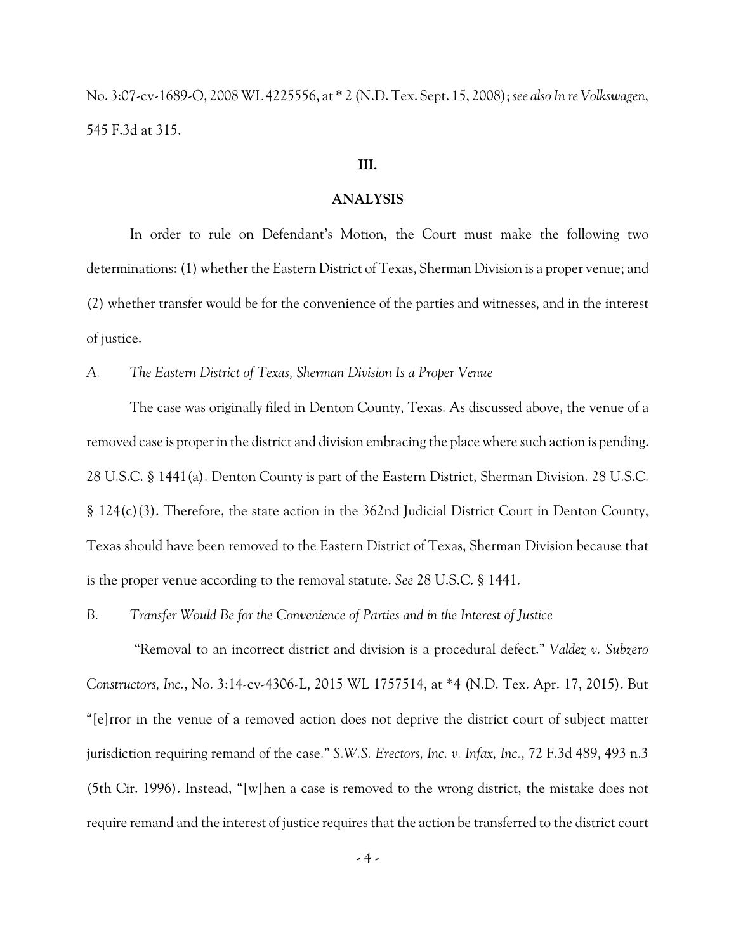No. 3:07-cv-1689-O, 2008 WL 4225556, at \* 2 (N.D. Tex. Sept. 15, 2008); *see also In re Volkswagen*, 545 F.3d at 315.

#### **III.**

### **ANALYSIS**

In order to rule on Defendant's Motion, the Court must make the following two determinations: (1) whether the Eastern District of Texas, Sherman Division is a proper venue; and (2) whether transfer would be for the convenience of the parties and witnesses, and in the interest of justice.

*A. The Eastern District of Texas, Sherman Division Is a Proper Venue*

The case was originally filed in Denton County, Texas. As discussed above, the venue of a removed case is proper in the district and division embracing the place where such action is pending. 28 U.S.C. § 1441(a). Denton County is part of the Eastern District, Sherman Division. 28 U.S.C. § 124(c)(3). Therefore, the state action in the 362nd Judicial District Court in Denton County, Texas should have been removed to the Eastern District of Texas, Sherman Division because that is the proper venue according to the removal statute. *See* 28 U.S.C. § 1441.

*B. Transfer Would Be for the Convenience of Parties and in the Interest of Justice*

"Removal to an incorrect district and division is a procedural defect." *Valdez v. Subzero Constructors, Inc.*, No. 3:14-cv-4306-L, 2015 WL 1757514, at \*4 (N.D. Tex. Apr. 17, 2015). But "[e]rror in the venue of a removed action does not deprive the district court of subject matter jurisdiction requiring remand of the case." *S.W.S. Erectors, Inc. v. Infax, Inc.*, 72 F.3d 489, 493 n.3 (5th Cir. 1996). Instead, "[w]hen a case is removed to the wrong district, the mistake does not require remand and the interest of justice requires that the action be transferred to the district court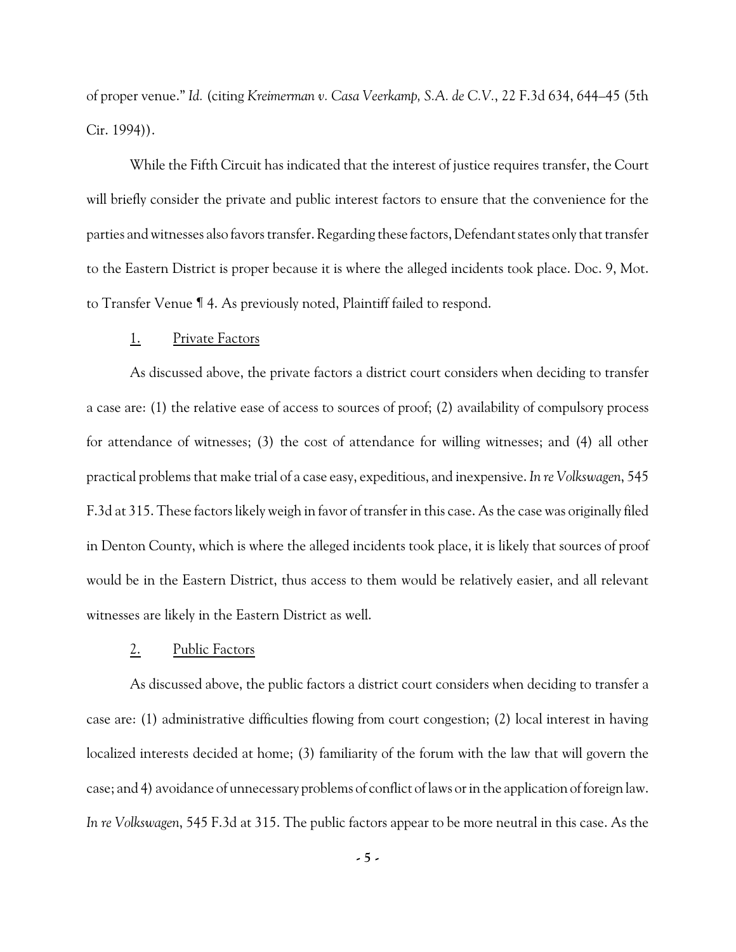of proper venue." *Id.* (citing *Kreimerman v. Casa Veerkamp, S.A. de C.V.*, 22 F.3d 634, 644–45 (5th Cir. 1994)).

While the Fifth Circuit has indicated that the interest of justice requires transfer, the Court will briefly consider the private and public interest factors to ensure that the convenience for the parties and witnesses also favors transfer. Regarding these factors, Defendant states only that transfer to the Eastern District is proper because it is where the alleged incidents took place. Doc. 9, Mot. to Transfer Venue ¶ 4. As previously noted, Plaintiff failed to respond.

#### 1. Private Factors

As discussed above, the private factors a district court considers when deciding to transfer a case are: (1) the relative ease of access to sources of proof; (2) availability of compulsory process for attendance of witnesses; (3) the cost of attendance for willing witnesses; and (4) all other practical problems that make trial of a case easy, expeditious, and inexpensive. *In re Volkswagen*, 545 F.3d at 315. These factors likely weigh in favor of transfer in this case. As the case was originally filed in Denton County, which is where the alleged incidents took place, it is likely that sources of proof would be in the Eastern District, thus access to them would be relatively easier, and all relevant witnesses are likely in the Eastern District as well.

#### 2. Public Factors

As discussed above, the public factors a district court considers when deciding to transfer a case are: (1) administrative difficulties flowing from court congestion; (2) local interest in having localized interests decided at home; (3) familiarity of the forum with the law that will govern the case; and 4) avoidance of unnecessary problems of conflict of laws or in the application of foreign law. *In re Volkswagen*, 545 F.3d at 315. The public factors appear to be more neutral in this case. As the